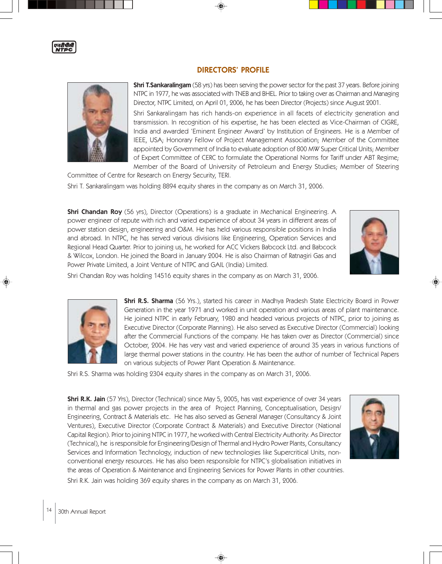

## DIRECTORS' PROFILE

**Shri T.Sankaralingam** (58 yrs) has been serving the power sector for the past 37 years. Before joining NTPC in 1977, he was associated with TNEB and BHEL. Prior to taking over as Chairman and Managing Director, NTPC Limited, on April 01, 2006, he has been Director (Projects) since August 2001.

Shri Sankaralingam has rich hands-on experience in all facets of electricity generation and transmission. In recognition of his expertise, he has been elected as Vice-Chairman of CIGRE, India and awarded 'Eminent Engineer Award' by Institution of Engineers. He is a Member of IEEE, USA; Honorary Fellow of Project Management Association; Member of the Committee appointed by Government of India to evaluate adoption of 800 MW Super Critical Units; Member of Expert Committee of CERC to formulate the Operational Norms for Tariff under ABT Regime; Member of the Board of University of Petroleum and Energy Studies; Member of Steering

Committee of Centre for Research on Energy Security, TERI. Shri T. Sankaralingam was holding 8894 equity shares in the company as on March 31, 2006.

**Shri Chandan Roy** (56 yrs), Director (Operations) is a graduate in Mechanical Engineering. A power engineer of repute with rich and varied experience of about 34 years in different areas of power station design, engineering and O&M. He has held various responsible positions in India and abroad. In NTPC, he has served various divisions like Engineering, Operation Services and Regional Head Quarter. Prior to joining us, he worked for ACC Vickers Babcock Ltd. and Babcock & Wilcox, London. He joined the Board in January 2004. He is also Chairman of Ratnagiri Gas and Power Private Limited, a Joint Venture of NTPC and GAIL (India) Limited.



Shri Chandan Roy was holding 14516 equity shares in the company as on March 31, 2006.



**Shri R.S. Sharma** (56 Yrs.), started his career in Madhya Pradesh State Electricity Board in Power Generation in the year 1971 and worked in unit operation and various areas of plant maintenance. He joined NTPC in early February, 1980 and headed various projects of NTPC, prior to joining as Executive Director (Corporate Planning). He also served as Executive Director (Commercial) looking after the Commercial Functions of the company. He has taken over as Director (Commercial) since October, 2004. He has very vast and varied experience of around 35 years in various functions of large thermal power stations in the country. He has been the author of number of Technical Papers on various subjects of Power Plant Operation & Maintenance.

Shri R.S. Sharma was holding 2304 equity shares in the company as on March 31, 2006.

Shri R.K. Jain (57 Yrs), Director (Technical) since May 5, 2005, has vast experience of over 34 years in thermal and gas power projects in the area of Project Planning, Conceptualisation, Design/ Engineering, Contract & Materials etc. He has also served as General Manager (Consultancy & Joint Ventures), Executive Director (Corporate Contract & Materials) and Executive Director (National Capital Region). Prior to joining NTPC in 1977, he worked with Central Electricity Authority. As Director (Technical), he is responsible for Engineering/Design of Thermal and Hydro Power Plants, Consultancy Services and Information Technology, induction of new technologies like Supercritical Units, nonconventional energy resources. He has also been responsible for NTPC's globalisation initiatives in the areas of Operation & Maintenance and Engineering Services for Power Plants in other countries. Shri R.K. Jain was holding 369 equity shares in the company as on March 31, 2006.

◈

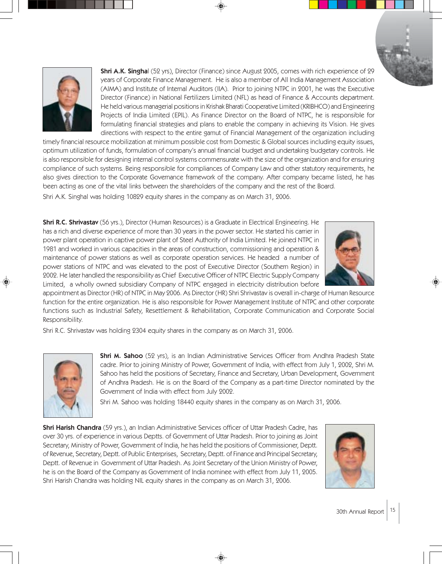

**Shri A.K. Singha**l (52 yrs), Director (Finance) since August 2005, comes with rich experience of 29 years of Corporate Finance Management. He is also a member of All India Management Association (AIMA) and Institute of Internal Auditors (IIA). Prior to joining NTPC in 2001, he was the Executive Director (Finance) in National Fertilizers Limited (NFL) as head of Finance & Accounts department. He held various managerial positions in Krishak Bharati Cooperative Limited (KRIBHCO) and Engineering Projects of India Limited (EPIL). As Finance Director on the Board of NTPC, he is responsible for formulating financial strategies and plans to enable the company in achieving its Vision. He gives directions with respect to the entire gamut of Financial Management of the organization including

timely financial resource mobilization at minimum possible cost from Domestic & Global sources including equity issues, optimum utilization of funds, formulation of company's annual financial budget and undertaking budgetary controls. He is also responsible for designing internal control systems commensurate with the size of the organization and for ensuring compliance of such systems. Being responsible for compliances of Company Law and other statutory requirements, he also gives direction to the Corporate Governance framework of the company. After company became listed, he has been acting as one of the vital links between the shareholders of the company and the rest of the Board.

Shri A.K. Singhal was holding 10829 equity shares in the company as on March 31, 2006.

Shri R.C. Shrivastav (56 yrs.), Director (Human Resources) is a Graduate in Electrical Engineering. He has a rich and diverse experience of more than 30 years in the power sector. He started his carrier in power plant operation in captive power plant of Steel Authority of India Limited. He joined NTPC in 1981 and worked in various capacities in the areas of construction, commissioning and operation & maintenance of power stations as well as corporate operation services. He headed a number of power stations of NTPC and was elevated to the post of Executive Director (Southern Region) in 2002. He later handled the responsibility as Chief Executive Officer of NTPC Electric Supply Company Limited, a wholly owned subsidiary Company of NTPC engaged in electricity distribution before

appointment as Director (HR) of NTPC in May 2006. As Director (HR) Shri Shrivastav is overall in-charge of Human Resource function for the entire organization. He is also responsible for Power Management Institute of NTPC and other corporate functions such as Industrial Safety, Resettlement & Rehabilitation, Corporate Communication and Corporate Social Responsibility.

Shri R.C. Shrivastav was holding 2304 equity shares in the company as on March 31, 2006.



**Shri M. Sahoo** (52 yrs), is an Indian Administrative Services Officer from Andhra Pradesh State cadre. Prior to joining Ministry of Power, Government of India, with effect from July 1, 2002, Shri M. Sahoo has held the positions of Secretary, Finance and Secretary, Urban Development, Government of Andhra Pradesh. He is on the Board of the Company as a part-time Director nominated by the Government of India with effect from July 2002.

Shri M. Sahoo was holding 18440 equity shares in the company as on March 31, 2006.

◈

Shri Harish Chandra (59 yrs.), an Indian Administrative Services officer of Uttar Pradesh Cadre, has over 30 yrs. of experience in various Deptts. of Government of Uttar Pradesh. Prior to joining as Joint Secretary, Ministry of Power, Government of India, he has held the positions of Commissioner, Deptt. of Revenue, Secretary, Deptt. of Public Enterprises, Secretary, Deptt. of Finance and Principal Secretary, Deptt. of Revenue in Government of Uttar Pradesh. As Joint Secretary of the Union Ministry of Power, he is on the Board of the Company as Government of India nominee with effect from July 11, 2005. Shri Harish Chandra was holding NIL equity shares in the company as on March 31, 2006.